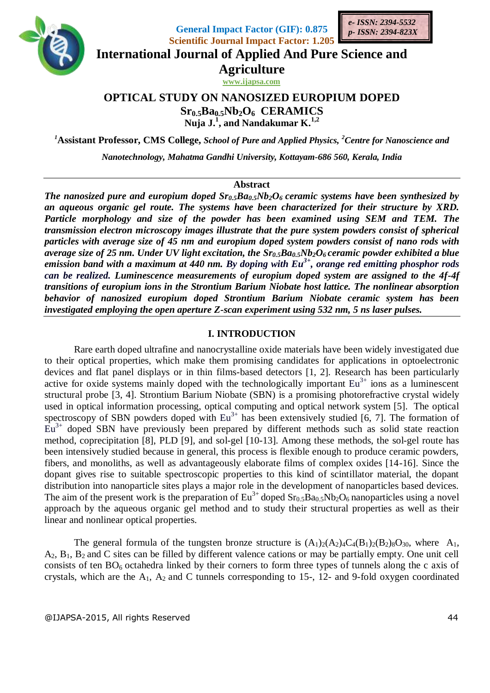

**General Impact Factor (GIF): 0.875 Scientific Journal Impact Factor: 1.205**



**International Journal of Applied And Pure Science and**

**Agriculture**

**www.ijapsa.com** 

# **OPTICAL STUDY ON NANOSIZED EUROPIUM DOPED Sr0.5Ba0.5Nb2O6 CERAMICS** Nuja  $J^{1}$ , and Nandakumar  $K^{1,2}$

*<sup>1</sup>***Assistant Professor, CMS College,** *School of Pure and Applied Physics, <sup>2</sup>Centre for Nanoscience and* 

*Nanotechnology, Mahatma Gandhi University, Kottayam-686 560, Kerala, India*

### **Abstract**

*The nanosized pure and europium doped Sr0.5Ba0.5Nb2O6 ceramic systems have been synthesized by an aqueous organic gel route. The systems have been characterized for their structure by XRD. Particle morphology and size of the powder has been examined using SEM and TEM. The transmission electron microscopy images illustrate that the pure system powders consist of spherical particles with average size of 45 nm and europium doped system powders consist of nano rods with average size of 25 nm. Under UV light excitation, the Sr0.5Ba0.5Nb2O6 ceramic powder exhibited a blue emission band with a maximum at 440 nm. By doping with Eu3+, orange red emitting phosphor rods can be realized. Luminescence measurements of europium doped system are assigned to the 4f-4f transitions of europium ions in the Strontium Barium Niobate host lattice. The nonlinear absorption behavior of nanosized europium doped Strontium Barium Niobate ceramic system has been investigated employing the open aperture Z-scan experiment using 532 nm, 5 ns laser pulses.*

## **I. INTRODUCTION**

Rare earth doped ultrafine and nanocrystalline oxide materials have been widely investigated due to their optical properties, which make them promising candidates for applications in optoelectronic devices and flat panel displays or in thin films-based detectors [1, 2]. Research has been particularly active for oxide systems mainly doped with the technologically important  $Eu^{3+}$  ions as a luminescent structural probe [3, 4]. Strontium Barium Niobate (SBN) is a promising photorefractive crystal widely used in optical information processing, optical computing and optical network system [5]. The optical spectroscopy of SBN powders doped with  $Eu^{3+}$  has been extensively studied [6, 7]. The formation of  $Eu<sup>3+</sup>$  doped SBN have previously been prepared by different methods such as solid state reaction method, coprecipitation [8], PLD [9], and sol-gel [10-13]. Among these methods, the sol-gel route has been intensively studied because in general, this process is flexible enough to produce ceramic powders, fibers, and monoliths, as well as advantageously elaborate films of complex oxides [14-16]. Since the dopant gives rise to suitable spectroscopic properties to this kind of scintillator material, the dopant distribution into nanoparticle sites plays a major role in the development of nanoparticles based devices. The aim of the present work is the preparation of  $Eu^{3+}$  doped  $Sr_{0.5}Ba_{0.5}Nb_2O_6$  nanoparticles using a novel approach by the aqueous organic gel method and to study their structural properties as well as their linear and nonlinear optical properties.

The general formula of the tungsten bronze structure is  $(A_1)_2(A_2)_4C_4(B_1)_2(B_2)_8O_{30}$ , where  $A_1$ ,  $A_2$ ,  $B_1$ ,  $B_2$  and C sites can be filled by different valence cations or may be partially empty. One unit cell consists of ten  $BO<sub>6</sub>$  octahedra linked by their corners to form three types of tunnels along the c axis of crystals, which are the  $A_1$ ,  $A_2$  and C tunnels corresponding to 15-, 12- and 9-fold oxygen coordinated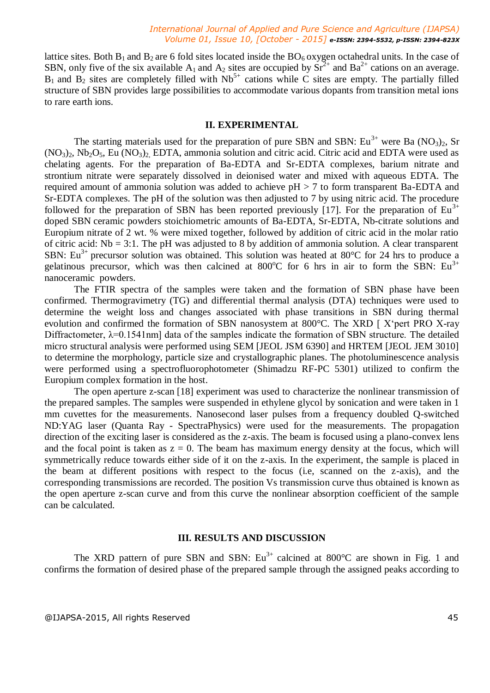lattice sites. Both  $B_1$  and  $B_2$  are 6 fold sites located inside the  $BO_6$  oxygen octahedral units. In the case of SBN, only five of the six available  $A_1$  and  $A_2$  sites are occupied by  $Sr^{2+}$  and  $Ba^{2+}$  cations on an average.  $B_1$  and  $B_2$  sites are completely filled with  $Nb^{5+}$  cations while C sites are empty. The partially filled structure of SBN provides large possibilities to accommodate various dopants from transition metal ions to rare earth ions.

### **II. EXPERIMENTAL**

The starting materials used for the preparation of pure SBN and SBN:  $Eu^{3+}$  were Ba (NO<sub>3</sub>)<sub>2</sub>, Sr  $(NO<sub>3</sub>)<sub>2</sub>$ , Nb<sub>2</sub>O<sub>5</sub>, Eu  $(NO<sub>3</sub>)<sub>2</sub>$ , EDTA, ammonia solution and citric acid. Citric acid and EDTA were used as chelating agents. For the preparation of Ba-EDTA and Sr-EDTA complexes, barium nitrate and strontium nitrate were separately dissolved in deionised water and mixed with aqueous EDTA. The required amount of ammonia solution was added to achieve  $pH > 7$  to form transparent Ba-EDTA and Sr-EDTA complexes. The pH of the solution was then adjusted to 7 by using nitric acid. The procedure followed for the preparation of SBN has been reported previously [17]. For the preparation of  $Eu^{3+}$ doped SBN ceramic powders stoichiometric amounts of Ba-EDTA, Sr-EDTA, Nb-citrate solutions and Europium nitrate of 2 wt. % were mixed together, followed by addition of citric acid in the molar ratio of citric acid: Nb = 3:1. The pH was adjusted to 8 by addition of ammonia solution. A clear transparent SBN: Eu<sup>3+</sup> precursor solution was obtained. This solution was heated at 80°C for 24 hrs to produce a gelatinous precursor, which was then calcined at 800 $^{\circ}$ C for 6 hrs in air to form the SBN: Eu<sup>3+</sup> nanoceramic powders.

The FTIR spectra of the samples were taken and the formation of SBN phase have been confirmed. Thermogravimetry (TG) and differential thermal analysis (DTA) techniques were used to determine the weight loss and changes associated with phase transitions in SBN during thermal evolution and confirmed the formation of SBN nanosystem at 800°C. The XRD [ X'pert PRO X-ray Diffractometer,  $\lambda$ =0.1541nm] data of the samples indicate the formation of SBN structure. The detailed micro structural analysis were performed using SEM [JEOL JSM 6390] and HRTEM [JEOL JEM 3010] to determine the morphology, particle size and crystallographic planes. The photoluminescence analysis were performed using a spectrofluorophotometer (Shimadzu RF-PC 5301) utilized to confirm the Europium complex formation in the host.

The open aperture z-scan [18] experiment was used to characterize the nonlinear transmission of the prepared samples. The samples were suspended in ethylene glycol by sonication and were taken in 1 mm cuvettes for the measurements. Nanosecond laser pulses from a frequency doubled Q-switched ND:YAG laser (Quanta Ray - SpectraPhysics) were used for the measurements. The propagation direction of the exciting laser is considered as the z-axis. The beam is focused using a plano-convex lens and the focal point is taken as  $z = 0$ . The beam has maximum energy density at the focus, which will symmetrically reduce towards either side of it on the z-axis. In the experiment, the sample is placed in the beam at different positions with respect to the focus (i.e, scanned on the z-axis), and the corresponding transmissions are recorded. The position Vs transmission curve thus obtained is known as the open aperture z-scan curve and from this curve the nonlinear absorption coefficient of the sample can be calculated.

## **III. RESULTS AND DISCUSSION**

The XRD pattern of pure SBN and SBN:  $Eu^{3+}$  calcined at 800°C are shown in Fig. 1 and confirms the formation of desired phase of the prepared sample through the assigned peaks according to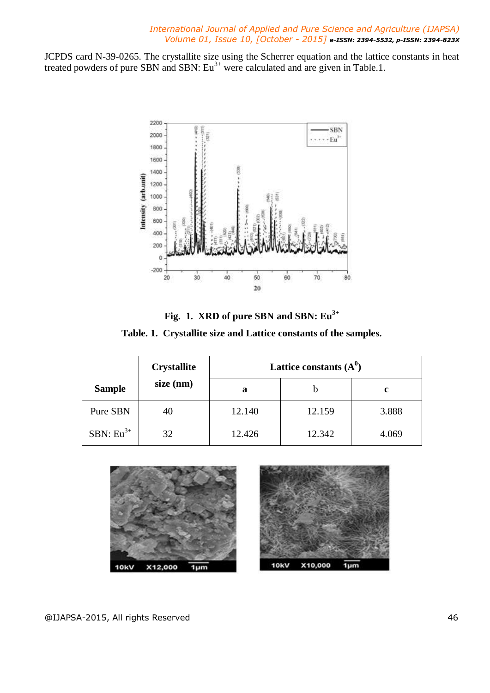JCPDS card N-39-0265. The crystallite size using the Scherrer equation and the lattice constants in heat treated powders of pure SBN and SBN:  $Eu^{3+}$  were calculated and are given in Table.1.



**Fig. 1. XRD of pure SBN and SBN: Eu3+ Table. 1. Crystallite size and Lattice constants of the samples.**

|                | <b>Crystallite</b><br>$size$ (nm) | Lattice constants $(A^0)$ |        |       |
|----------------|-----------------------------------|---------------------------|--------|-------|
| <b>Sample</b>  |                                   | a                         |        | c     |
| Pure SBN       | 40                                | 12.140                    | 12.159 | 3.888 |
| SBN: $Eu^{3+}$ | 32                                | 12.426                    | 12.342 | 4.069 |



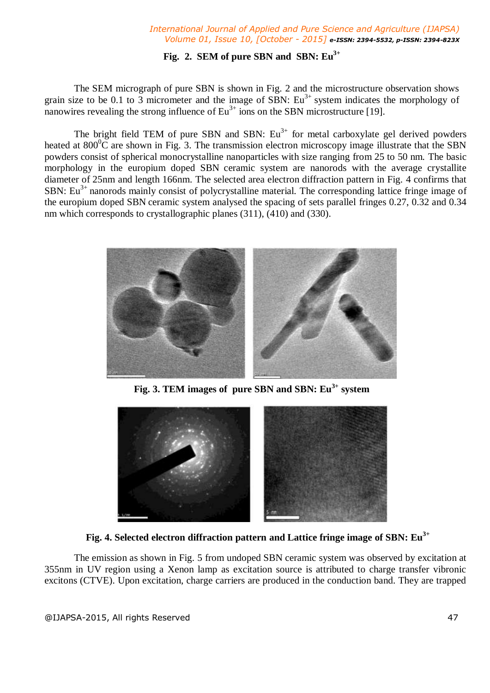## **Fig. 2. SEM of pure SBN and SBN: Eu3+**

The SEM micrograph of pure SBN is shown in Fig. 2 and the microstructure observation shows grain size to be 0.1 to 3 micrometer and the image of SBN:  $Eu^{3+}$  system indicates the morphology of nanowires revealing the strong influence of  $Eu^{3+}$  ions on the SBN microstructure [19].

The bright field TEM of pure SBN and SBN:  $Eu<sup>3+</sup>$  for metal carboxylate gel derived powders heated at  $800^{\circ}$ C are shown in Fig. 3. The transmission electron microscopy image illustrate that the SBN powders consist of spherical monocrystalline nanoparticles with size ranging from 25 to 50 nm. The basic morphology in the europium doped SBN ceramic system are nanorods with the average crystallite diameter of 25nm and length 166nm. The selected area electron diffraction pattern in Fig. 4 confirms that SBN:  $Eu<sup>3+</sup>$  nanorods mainly consist of polycrystalline material. The corresponding lattice fringe image of the europium doped SBN ceramic system analysed the spacing of sets parallel fringes 0.27, 0.32 and 0.34 nm which corresponds to crystallographic planes (311), (410) and (330).



**Fig. 3. TEM images of pure SBN and SBN: Eu3+ system**



**Fig. 4. Selected electron diffraction pattern and Lattice fringe image of SBN: Eu3+**

The emission as shown in Fig. 5 from undoped SBN ceramic system was observed by excitation at 355nm in UV region using a Xenon lamp as excitation source is attributed to charge transfer vibronic excitons (CTVE). Upon excitation, charge carriers are produced in the conduction band. They are trapped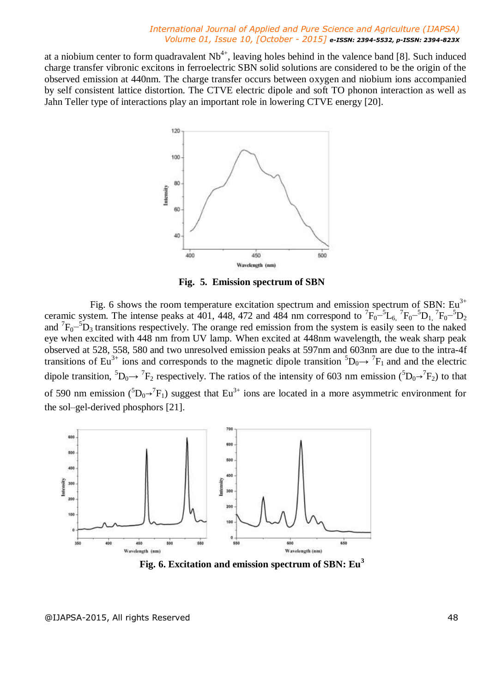at a niobium center to form quadravalent  $Nb^{4+}$ , leaving holes behind in the valence band [8]. Such induced charge transfer vibronic excitons in ferroelectric SBN solid solutions are considered to be the origin of the observed emission at 440nm. The charge transfer occurs between oxygen and niobium ions accompanied by self consistent lattice distortion. The CTVE electric dipole and soft TO phonon interaction as well as Jahn Teller type of interactions play an important role in lowering CTVE energy [20].



**Fig. 5. Emission spectrum of SBN**

Fig. 6 shows the room temperature excitation spectrum and emission spectrum of SBN:  $Eu^{3+}$ ceramic system. The intense peaks at 401, 448, 472 and 484 nm correspond to  ${}^{7}F_{0}^{-5}L_{6}$ ,  ${}^{7}F_{0}^{-5}D_{1}$ ,  ${}^{7}F_{0}^{-5}D_{2}$ and  ${}^{7}F_{0}$ <sup>-5</sup>D<sub>3</sub> transitions respectively. The orange red emission from the system is easily seen to the naked eye when excited with 448 nm from UV lamp. When excited at 448nm wavelength, the weak sharp peak observed at 528, 558, 580 and two unresolved emission peaks at 597nm and 603nm are due to the intra-4f transitions of Eu<sup>3+</sup> ions and corresponds to the magnetic dipole transition  ${}^5D_0 \rightarrow {}^7F_1$  and and the electric dipole transition,  ${}^5D_0 \rightarrow {}^7F_2$  respectively. The ratios of the intensity of 603 nm emission  $({}^5D_0 \rightarrow {}^7F_2)$  to that of 590 nm emission  $({}^{5}D_{0} \rightarrow {}^{7}F_{1})$  suggest that Eu<sup>3+</sup> ions are located in a more asymmetric environment for the sol–gel-derived phosphors [21].



**Fig. 6. Excitation and emission spectrum of SBN: Eu<sup>3</sup>**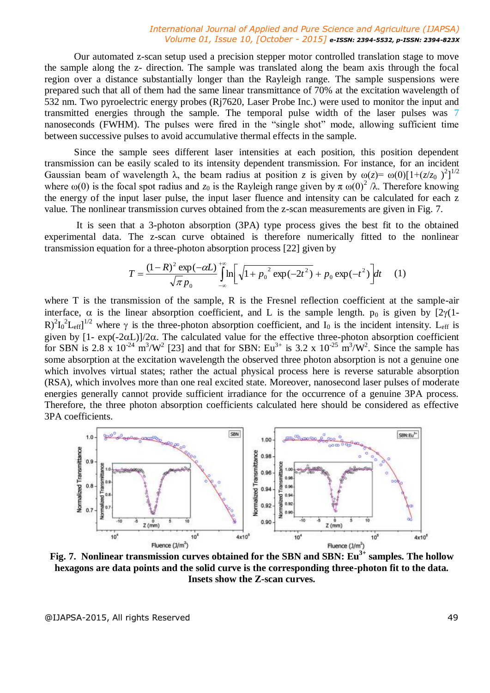Our automated z-scan setup used a precision stepper motor controlled translation stage to move the sample along the z- direction. The sample was translated along the beam axis through the focal region over a distance substantially longer than the Rayleigh range. The sample suspensions were prepared such that all of them had the same linear transmittance of 70% at the excitation wavelength of 532 nm. Two pyroelectric energy probes (Rj7620, Laser Probe Inc.) were used to monitor the input and transmitted energies through the sample. The temporal pulse width of the laser pulses was 7 nanoseconds (FWHM). The pulses were fired in the "single shot" mode, allowing sufficient time between successive pulses to avoid accumulative thermal effects in the sample.

Since the sample sees different laser intensities at each position, this position dependent transmission can be easily scaled to its intensity dependent transmission. For instance, for an incident Gaussian beam of wavelength  $\lambda$ , the beam radius at position *z* is given by  $\omega(z) = \omega(0)[1 + (z/z_0)^2]^{1/2}$ where  $\omega(0)$  is the focal spot radius and  $z_0$  is the Rayleigh range given by  $\pi \omega(0)^2 / \lambda$ . Therefore knowing the energy of the input laser pulse, the input laser fluence and intensity can be calculated for each z value*.* The nonlinear transmission curves obtained from the z-scan measurements are given in Fig. 7.

It is seen that a 3-photon absorption (3PA) type process gives the best fit to the obtained experimental data. The z-scan curve obtained is therefore numerically fitted to the nonlinear transmission equation for a three-photon absorption process [22] given by

$$
T = \frac{(1 - R)^2 \exp(-\alpha L)}{\sqrt{\pi} p_0} \int_{-\infty}^{+\infty} \ln \left[ \sqrt{1 + p_0^2 \exp(-2t^2)} + p_0 \exp(-t^2) \right] dt \tag{1}
$$

where T is the transmission of the sample, R is the Fresnel reflection coefficient at the sample-air interface,  $\alpha$  is the linear absorption coefficient, and L is the sample length.  $p_0$  is given by  $[2\gamma(1-\gamma)]$  $R)^2 I_0^2 L_{eff}$ <sup>1/2</sup> where  $\gamma$  is the three-photon absorption coefficient, and  $I_0$  is the incident intensity. L<sub>eff</sub> is given by  $[1 - \exp(-2\alpha L)]/2\alpha$ . The calculated value for the effective three-photon absorption coefficient for SBN is 2.8 x  $10^{-24}$  m<sup>3</sup>/W<sup>2</sup> [23] and that for SBN: Eu<sup>3+</sup> is 3.2 x  $10^{-25}$  m<sup>3</sup>/W<sup>2</sup>. Since the sample has some absorption at the excitation wavelength the observed three photon absorption is not a genuine one which involves virtual states; rather the actual physical process here is reverse saturable absorption (RSA), which involves more than one real excited state. Moreover, nanosecond laser pulses of moderate energies generally cannot provide sufficient irradiance for the occurrence of a genuine 3PA process. Therefore, the three photon absorption coefficients calculated here should be considered as effective 3PA coefficients.



**Fig. 7. Nonlinear transmission curves obtained for the SBN and SBN: Eu3+ samples. The hollow hexagons are data points and the solid curve is the corresponding three-photon fit to the data. Insets show the Z-scan curves.**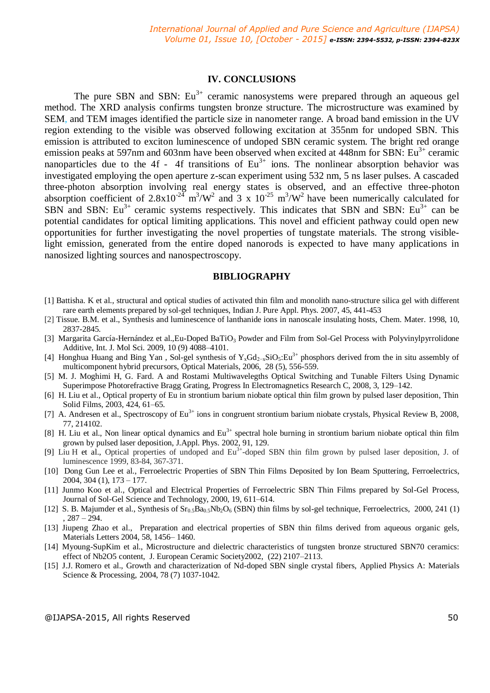## **IV. CONCLUSIONS**

The pure SBN and SBN:  $Eu^{3+}$  ceramic nanosystems were prepared through an aqueous gel method. The XRD analysis confirms tungsten bronze structure. The microstructure was examined by SEM, and TEM images identified the particle size in nanometer range. A broad band emission in the UV region extending to the visible was observed following excitation at 355nm for undoped SBN. This emission is attributed to exciton luminescence of undoped SBN ceramic system. The bright red orange emission peaks at 597nm and 603nm have been observed when excited at 448nm for SBN:  $Eu^{3+}$  ceramic nanoparticles due to the 4f - 4f transitions of  $Eu^{3+}$  ions. The nonlinear absorption behavior was investigated employing the open aperture z-scan experiment using 532 nm, 5 ns laser pulses. A cascaded three-photon absorption involving real energy states is observed, and an effective three-photon absorption coefficient of  $2.8 \times 10^{-24}$  m<sup>3</sup>/W<sup>2</sup> and 3 x 10<sup>-25</sup> m<sup>3</sup>/W<sup>2</sup> have been numerically calculated for SBN and SBN:  $Eu^{3+}$  ceramic systems respectively. This indicates that SBN and SBN:  $Eu^{3+}$  can be potential candidates for optical limiting applications. This novel and efficient pathway could open new opportunities for further investigating the novel properties of tungstate materials. The strong visiblelight emission, generated from the entire doped nanorods is expected to have many applications in nanosized lighting sources and nanospectroscopy.

### **BIBLIOGRAPHY**

- [1] Battisha. K et al., structural and optical studies of activated thin film and monolith nano-structure silica gel with different rare earth elements prepared by sol-gel techniques, Indian J. Pure Appl. Phys. 2007, 45, 441-453
- [2] Tissue. B.M. et al., Synthesis and luminescence of lanthanide ions in nanoscale insulating hosts, Chem. Mater. 1998, 10, 2837-2845.
- [3] Margarita García-Hernández et al., Eu-Doped BaTiO<sub>3</sub> Powder and Film from Sol-Gel Process with Polyvinylpyrrolidone Additive, Int. J. Mol Sci. 2009, 10 (9) 4088–4101.
- [4] Honghua Huang and Bing Yan, Sol-gel synthesis of Y<sub>x</sub>Gd<sub>2-x</sub>SiO<sub>5</sub>:Eu<sup>3+</sup> phosphors derived from the in situ assembly of multicomponent hybrid precursors, Optical Materials, 2006, 28 (5), 556-559.
- [5] M. J. Moghimi H, G. Fard. A and Rostami Multiwavelegths Optical Switching and Tunable Filters Using Dynamic Superimpose Photorefractive Bragg Grating, Progress In Electromagnetics Research C, 2008, 3, 129–142.
- [6] H. Liu et al., Optical property of Eu in strontium barium niobate optical thin film grown by pulsed laser deposition, Thin Solid Films, 2003, 424, 61–65.
- [7] A. Andresen et al., Spectroscopy of Eu<sup>3+</sup> ions in congruent strontium barium niobate crystals, Physical Review B, 2008, 77, 214102.
- [8] H. Liu et al., Non linear optical dynamics and  $Eu^{3+}$  spectral hole burning in strontium barium niobate optical thin film grown by pulsed laser deposition, J.Appl. Phys. 2002, 91, 129.
- [9] Liu H et al., Optical properties of undoped and Eu<sup>3+</sup>-doped SBN thin film grown by pulsed laser deposition, J. of luminescence 1999, 83-84, 367-371.
- [10] Dong Gun Lee et al., Ferroelectric Properties of SBN Thin Films Deposited by Ion Beam Sputtering, Ferroelectrics, 2004, 304 (1), 173 – 177.
- [11] Junmo Koo et al., Optical and Electrical Properties of Ferroelectric SBN Thin Films prepared by Sol-Gel Process, Journal of Sol-Gel Science and Technology, 2000, 19, 611–614.
- [12] S. B. Majumder et al., Synthesis of  $Sr<sub>0.5</sub>Ba<sub>0.5</sub>Nb<sub>2</sub>O<sub>6</sub> (SBN)$  thin films by sol-gel technique, Ferroelectrics, 2000, 241 (1)  $.287 - 294.$
- [13] Jiupeng Zhao et al., Preparation and electrical properties of SBN thin films derived from aqueous organic gels, Materials Letters 2004, 58, 1456– 1460.
- [14] Myoung-SupKim et al., Microstructure and dielectric characteristics of tungsten bronze structured SBN70 ceramics: effect of Nb2O5 content, J. European Ceramic Society2002, (22) 2107–2113.
- [15] J.J. Romero et al., Growth and characterization of Nd-doped SBN single crystal fibers, Applied Physics A: Materials Science & Processing, 2004, 78 (7) 1037-1042.